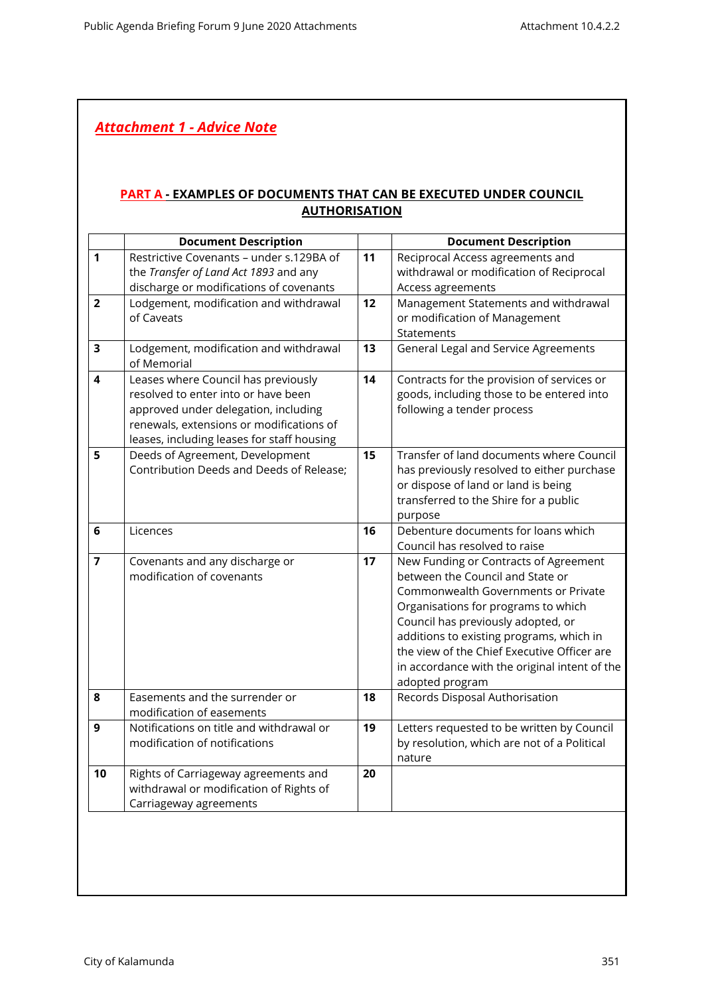## *Attachment 1 - Advice Note*

## **PART A - EXAMPLES OF DOCUMENTS THAT CAN BE EXECUTED UNDER COUNCIL AUTHORISATION**

|                         | <b>Document Description</b>                |    | <b>Document Description</b>                   |
|-------------------------|--------------------------------------------|----|-----------------------------------------------|
| $\mathbf{1}$            | Restrictive Covenants - under s.129BA of   | 11 | Reciprocal Access agreements and              |
|                         | the Transfer of Land Act 1893 and any      |    | withdrawal or modification of Reciprocal      |
|                         | discharge or modifications of covenants    |    | Access agreements                             |
| $\overline{2}$          | Lodgement, modification and withdrawal     | 12 | Management Statements and withdrawal          |
|                         | of Caveats                                 |    | or modification of Management                 |
|                         |                                            |    | Statements                                    |
| $\overline{\mathbf{3}}$ | Lodgement, modification and withdrawal     | 13 | General Legal and Service Agreements          |
|                         | of Memorial                                |    |                                               |
| 4                       | Leases where Council has previously        | 14 | Contracts for the provision of services or    |
|                         | resolved to enter into or have been        |    | goods, including those to be entered into     |
|                         | approved under delegation, including       |    | following a tender process                    |
|                         | renewals, extensions or modifications of   |    |                                               |
|                         | leases, including leases for staff housing |    |                                               |
| 5                       | Deeds of Agreement, Development            | 15 | Transfer of land documents where Council      |
|                         | Contribution Deeds and Deeds of Release;   |    | has previously resolved to either purchase    |
|                         |                                            |    | or dispose of land or land is being           |
|                         |                                            |    | transferred to the Shire for a public         |
|                         |                                            |    | purpose                                       |
| 6                       | Licences                                   | 16 | Debenture documents for loans which           |
|                         |                                            |    | Council has resolved to raise                 |
| $\overline{7}$          | Covenants and any discharge or             | 17 | New Funding or Contracts of Agreement         |
|                         | modification of covenants                  |    | between the Council and State or              |
|                         |                                            |    | Commonwealth Governments or Private           |
|                         |                                            |    | Organisations for programs to which           |
|                         |                                            |    | Council has previously adopted, or            |
|                         |                                            |    | additions to existing programs, which in      |
|                         |                                            |    | the view of the Chief Executive Officer are   |
|                         |                                            |    | in accordance with the original intent of the |
|                         |                                            |    | adopted program                               |
| 8                       | Easements and the surrender or             | 18 | Records Disposal Authorisation                |
|                         | modification of easements                  |    |                                               |
| 9                       | Notifications on title and withdrawal or   | 19 | Letters requested to be written by Council    |
|                         | modification of notifications              |    | by resolution, which are not of a Political   |
|                         |                                            |    | nature                                        |
| 10                      | Rights of Carriageway agreements and       | 20 |                                               |
|                         | withdrawal or modification of Rights of    |    |                                               |
|                         | Carriageway agreements                     |    |                                               |